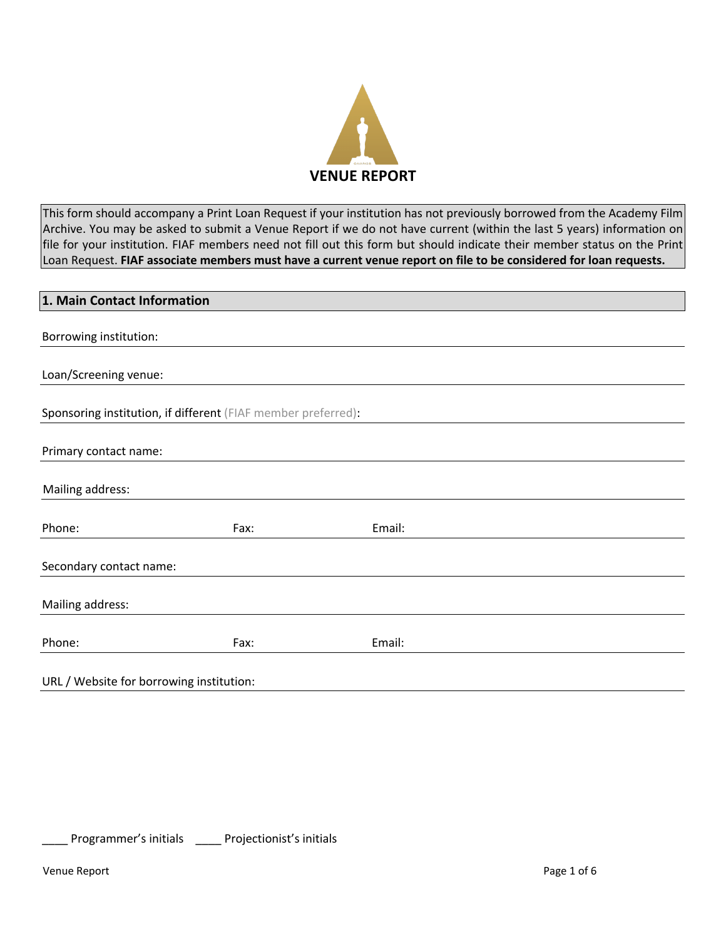

This form should accompany a Print Loan Request if your institution has not previously borrowed from the Academy Film Archive. You may be asked to submit a Venue Report if we do not have current (within the last 5 years) information on file for your institution. FIAF members need not fill out this form but should indicate their member status on the Print Loan Request. **FIAF associate members must have a current venue report on file to be considered for loan requests.**

| 1. Main Contact Information              |                                                               |        |  |  |
|------------------------------------------|---------------------------------------------------------------|--------|--|--|
|                                          |                                                               |        |  |  |
| Borrowing institution:                   |                                                               |        |  |  |
|                                          |                                                               |        |  |  |
| Loan/Screening venue:                    |                                                               |        |  |  |
|                                          |                                                               |        |  |  |
|                                          | Sponsoring institution, if different (FIAF member preferred): |        |  |  |
|                                          |                                                               |        |  |  |
| Primary contact name:                    |                                                               |        |  |  |
|                                          |                                                               |        |  |  |
| Mailing address:                         |                                                               |        |  |  |
|                                          |                                                               |        |  |  |
| Phone:                                   | Fax:                                                          | Email: |  |  |
|                                          |                                                               |        |  |  |
| Secondary contact name:                  |                                                               |        |  |  |
|                                          |                                                               |        |  |  |
| Mailing address:                         |                                                               |        |  |  |
|                                          |                                                               |        |  |  |
| Phone:                                   | Fax:                                                          | Email: |  |  |
|                                          |                                                               |        |  |  |
| URL / Website for borrowing institution: |                                                               |        |  |  |

Programmer's initials \_\_\_\_\_ Projectionist's initials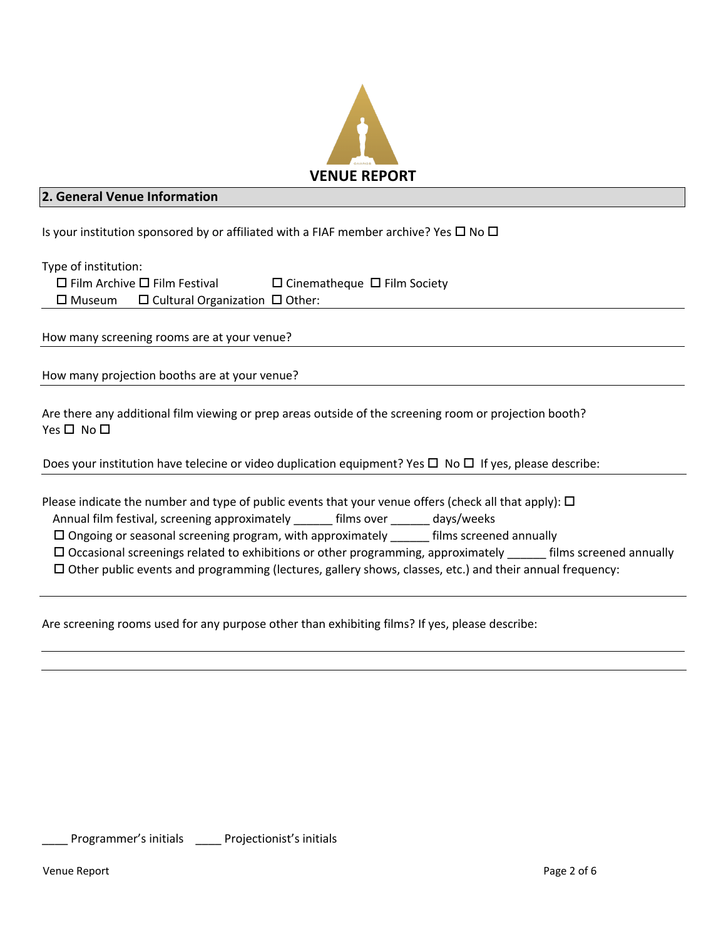

# **2. General Venue Information**

Is your institution sponsored by or affiliated with a FIAF member archive? Yes  $\Box$  No  $\Box$ 

Type of institution:

|                  | $\Box$ Film Archive $\Box$ Film Festival   | $\Box$ Cinematheque $\Box$ Film Society |  |
|------------------|--------------------------------------------|-----------------------------------------|--|
| $\square$ Museum | $\Box$ Cultural Organization $\Box$ Other: |                                         |  |

How many screening rooms are at your venue?

How many projection booths are at your venue?

Are there any additional film viewing or prep areas outside of the screening room or projection booth?  $Yes \Box No \Box$ 

Does your institution have telecine or video duplication equipment? Yes  $\Box$  No  $\Box$  If yes, please describe:

| Please indicate the number and type of public events that your venue offers (check all that apply): $\Box$ |  |  |  |  |
|------------------------------------------------------------------------------------------------------------|--|--|--|--|
|------------------------------------------------------------------------------------------------------------|--|--|--|--|

Annual film festival, screening approximately \_\_\_\_\_\_ films over \_\_\_\_\_\_ days/weeks

 $\square$  Ongoing or seasonal screening program, with approximately  $\square$  films screened annually

 $\Box$  Occasional screenings related to exhibitions or other programming, approximately \_\_\_\_\_\_\_ films screened annually

 $\Box$  Other public events and programming (lectures, gallery shows, classes, etc.) and their annual frequency:

Are screening rooms used for any purpose other than exhibiting films? If yes, please describe:

Programmer's initials \_\_\_\_ Projectionist's initials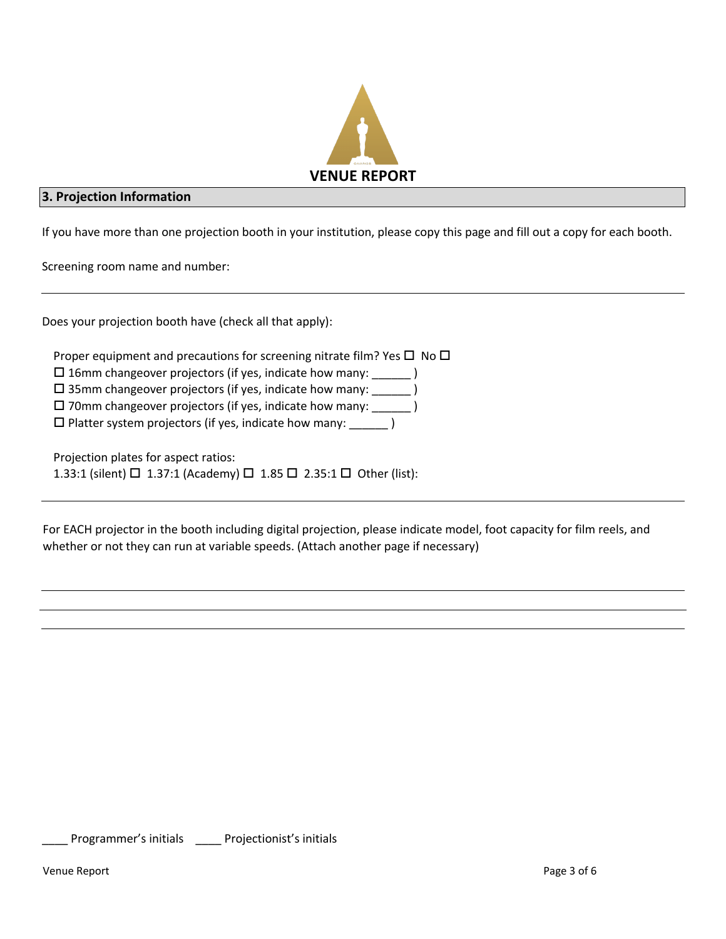

#### **3. Projection Information**

If you have more than one projection booth in your institution, please copy this page and fill out a copy for each booth.

Screening room name and number:

Does your projection booth have (check all that apply):

Proper equipment and precautions for screening nitrate film? Yes  $\Box$  No  $\Box$ 

 $\square$  16mm changeover projectors (if yes, indicate how many:  $\square$ )

 $\square$  35mm changeover projectors (if yes, indicate how many: \_\_\_\_\_\_\_)

 $\square$  70mm changeover projectors (if yes, indicate how many:  $\rule{1em}{0.15mm}$  )

 $\square$  Platter system projectors (if yes, indicate how many: \_\_\_\_\_\_\_ )

Projection plates for aspect ratios:

1.33:1 (silent)  $\Box$  1.37:1 (Academy)  $\Box$  1.85  $\Box$  2.35:1  $\Box$  Other (list):

For EACH projector in the booth including digital projection, please indicate model, foot capacity for film reels, and whether or not they can run at variable speeds. (Attach another page if necessary)

Programmer's initials \_\_\_\_ Projectionist's initials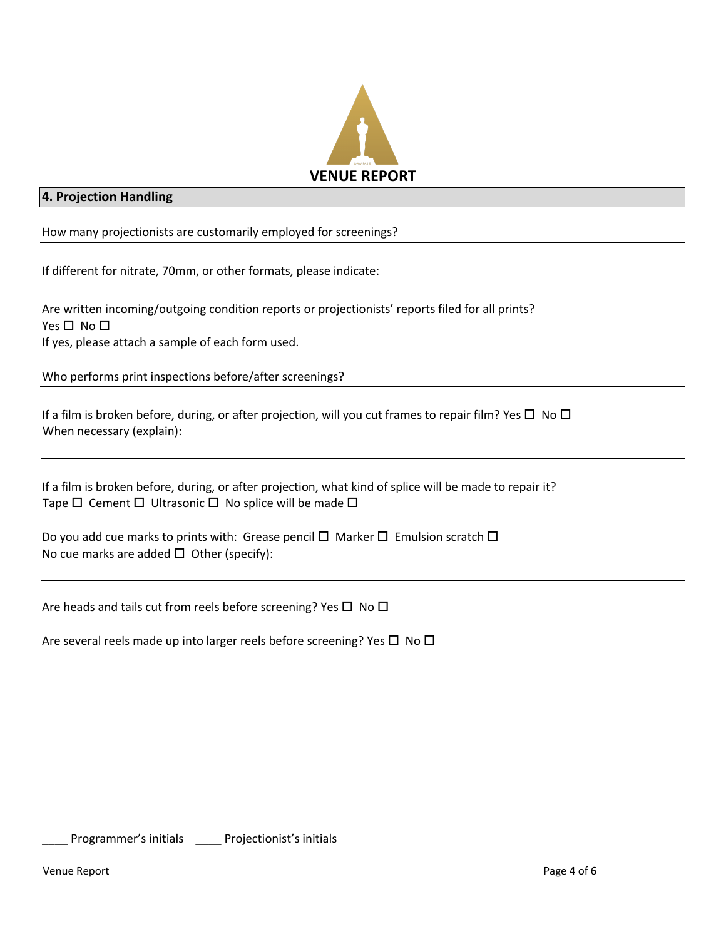

# **4. Projection Handling**

How many projectionists are customarily employed for screenings?

If different for nitrate, 70mm, or other formats, please indicate:

Are written incoming/outgoing condition reports or projectionists' reports filed for all prints? Yes  $\square$  No  $\square$ If yes, please attach a sample of each form used.

Who performs print inspections before/after screenings?

If a film is broken before, during, or after projection, will you cut frames to repair film? Yes  $\Box$  No  $\Box$ When necessary (explain):

If a film is broken before, during, or after projection, what kind of splice will be made to repair it? Tape  $\Box$  Cement  $\Box$  Ultrasonic  $\Box$  No splice will be made  $\Box$ 

Do you add cue marks to prints with: Grease pencil  $\Box$  Marker  $\Box$  Emulsion scratch  $\Box$ No cue marks are added  $\Box$  Other (specify):

Are heads and tails cut from reels before screening? Yes  $\Box$  No  $\Box$ 

Are several reels made up into larger reels before screening? Yes  $\Box$  No  $\Box$ 

Programmer's initials \_\_\_\_ Projectionist's initials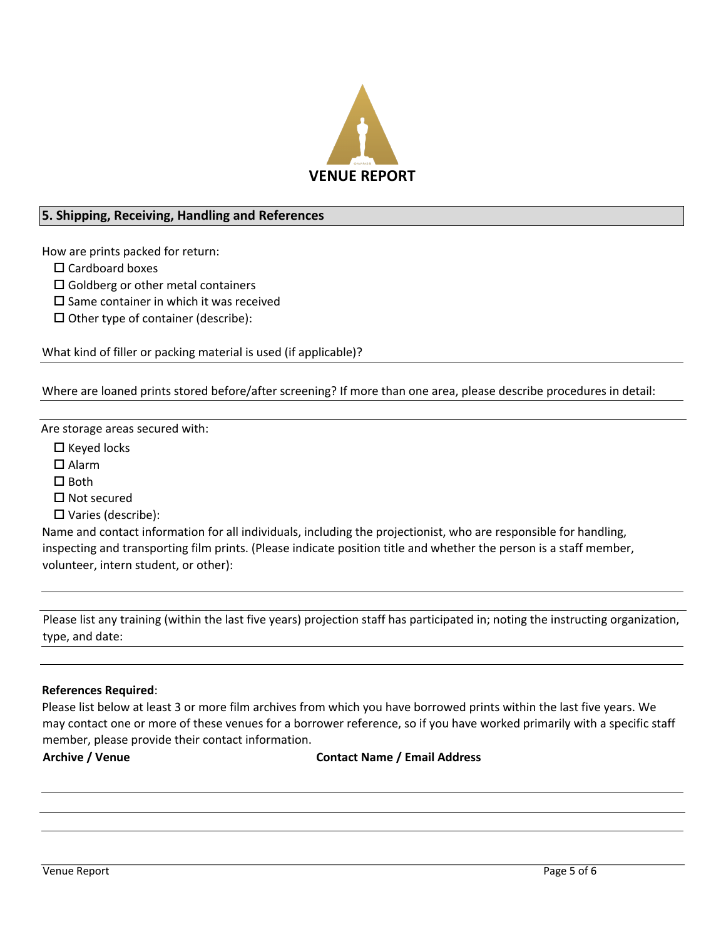

# **5. Shipping, Receiving, Handling and References**

How are prints packed for return:

 $\square$  Cardboard boxes

 $\square$  Goldberg or other metal containers

 $\square$  Same container in which it was received

 $\Box$  Other type of container (describe):

What kind of filler or packing material is used (if applicable)?

Where are loaned prints stored before/after screening? If more than one area, please describe procedures in detail:

Are storage areas secured with:

 $\square$  Keyed locks

 $\square$  Alarm

 $\square$  Both

 $\Pi$  Not secured

 $\square$  Varies (describe):

Name and contact information for all individuals, including the projectionist, who are responsible for handling, inspecting and transporting film prints. (Please indicate position title and whether the person is a staff member, volunteer, intern student, or other):

Please list any training (within the last five years) projection staff has participated in; noting the instructing organization, type, and date:

#### **References Required**:

Please list below at least 3 or more film archives from which you have borrowed prints within the last five years. We may contact one or more of these venues for a borrower reference, so if you have worked primarily with a specific staff member, please provide their contact information.

**Archive / Venue Contact Name / Email Address**